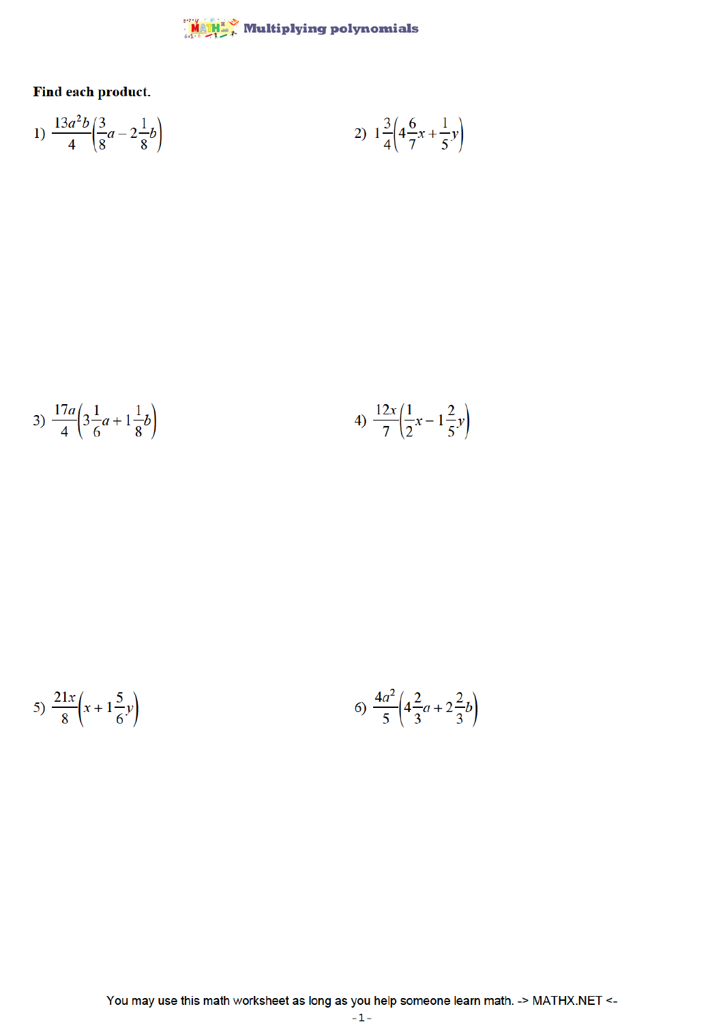## $\frac{\mathsf{M} \otimes \mathsf{M} \mathsf{M}}{\mathsf{M} \otimes \mathsf{M} \otimes \mathsf{M}}$  Multiplying polynomials

Find each product.

1) 
$$
\frac{13a^2b}{4} \left(\frac{3}{8}a - 2\frac{1}{8}b\right)
$$
 2)  $1\frac{3}{4} \left(4\frac{6}{7}x + \frac{1}{5}y\right)$ 

3) 
$$
\frac{17a}{4} \left(3\frac{1}{6}a + 1\frac{1}{8}b\right)
$$
 4)  $\frac{12x}{7} \left(\frac{1}{2}x - 1\frac{2}{5}y\right)$ 

5) 
$$
\frac{21x}{8} \left( x + 1 \frac{5}{6} y \right)
$$
 6)  $\frac{4a^2}{5} \left( 4 \frac{2}{3} a + 2 \frac{2}{3} b \right)$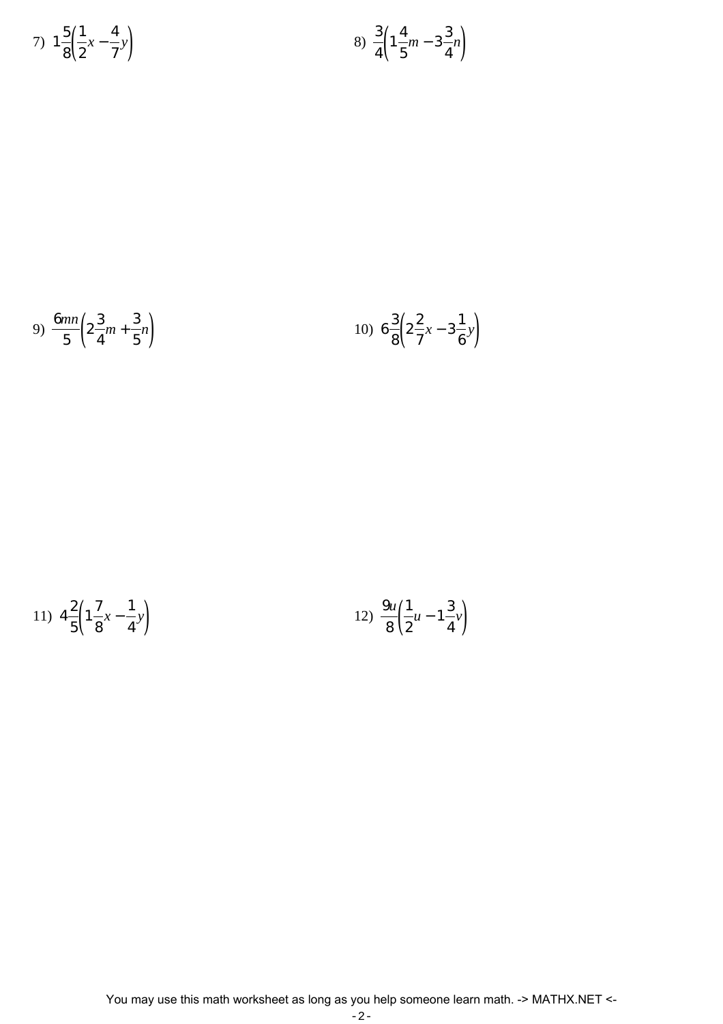7) 
$$
1\frac{5}{8}\left(\frac{1}{2}x - \frac{4}{7}y\right)
$$
   
8)  $\frac{3}{4}\left(1\frac{4}{5}m - 3\frac{3}{4}n\right)$ 

9) 
$$
\frac{6mn}{5}\left(2\frac{3}{4}m+\frac{3}{5}n\right)
$$
 10) 
$$
6\frac{3}{8}\left(2\frac{2}{7}x-3\frac{1}{6}y\right)
$$

11) 
$$
4\frac{2}{5}\left(1\frac{7}{8}x - \frac{1}{4}y\right)
$$
   
12)  $\frac{9u}{8}\left(\frac{1}{2}u - 1\frac{3}{4}y\right)$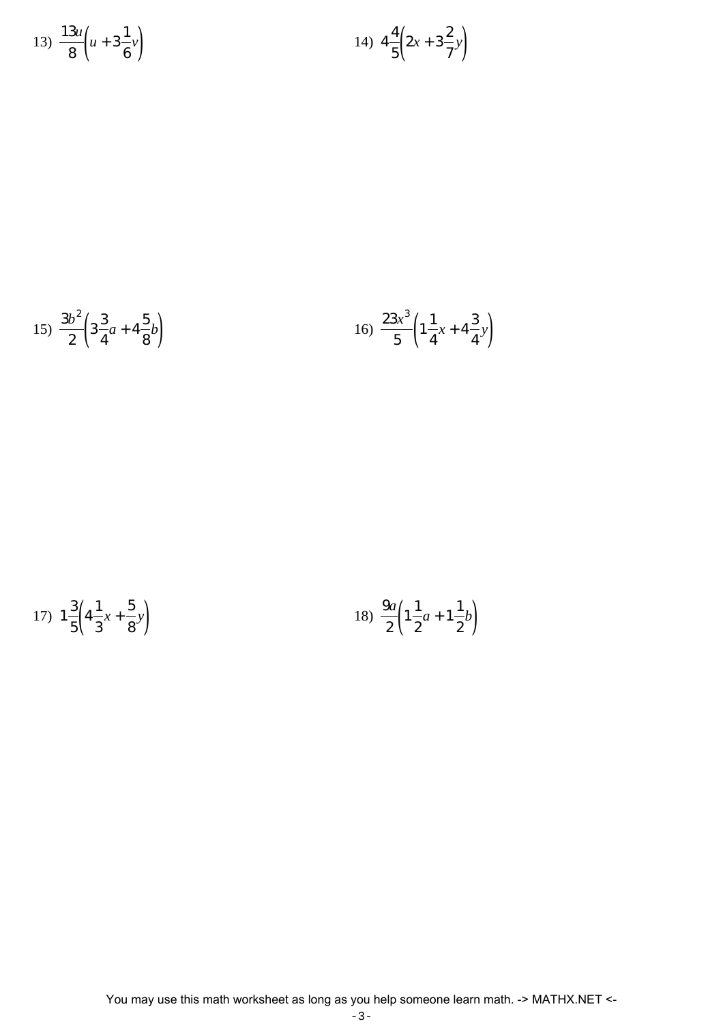13) 
$$
\frac{13u}{8} \left( u + 3\frac{1}{6} v \right)
$$
 14)  $4\frac{4}{5} \left( 2x + 3\frac{2}{7} y \right)$ 

$$
15) \frac{3b^2}{2} \left( 3\frac{3}{4}a + 4\frac{5}{8}b \right) \tag{16} \frac{23x^3}{5} \left( 1\frac{1}{4}x + 4\frac{3}{4}y \right)
$$

17) 
$$
1\frac{3}{5}\left(4\frac{1}{3}x+\frac{5}{8}y\right)
$$
 18)  $\frac{9a}{2}\left(1\frac{1}{2}a+1\frac{1}{2}b\right)$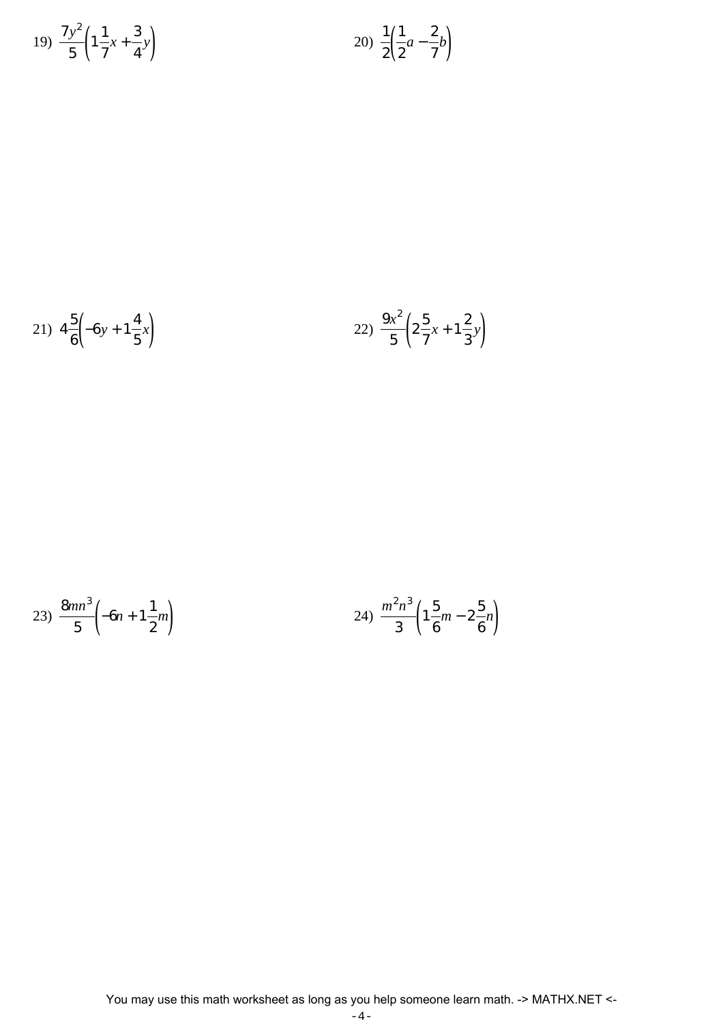$$
19) \ \frac{7y^2}{5} \left( 1 \frac{1}{7} x + \frac{3}{4} y \right) \qquad \qquad 20) \ \frac{1}{2} \left( \frac{1}{2} a - \frac{2}{7} b \right)
$$

21) 
$$
4\frac{5}{6}\left(-6y+1\frac{4}{5}x\right)
$$
   
22)  $\frac{9x^2}{5}\left(2\frac{5}{7}x+1\frac{2}{3}y\right)$ 

$$
23) \frac{8mn^3}{5} \left(-6n+1\frac{1}{2}m\right) \qquad 24) \frac{m^2n^3}{3} \left(1\frac{5}{6}m-2\frac{5}{6}n\right)
$$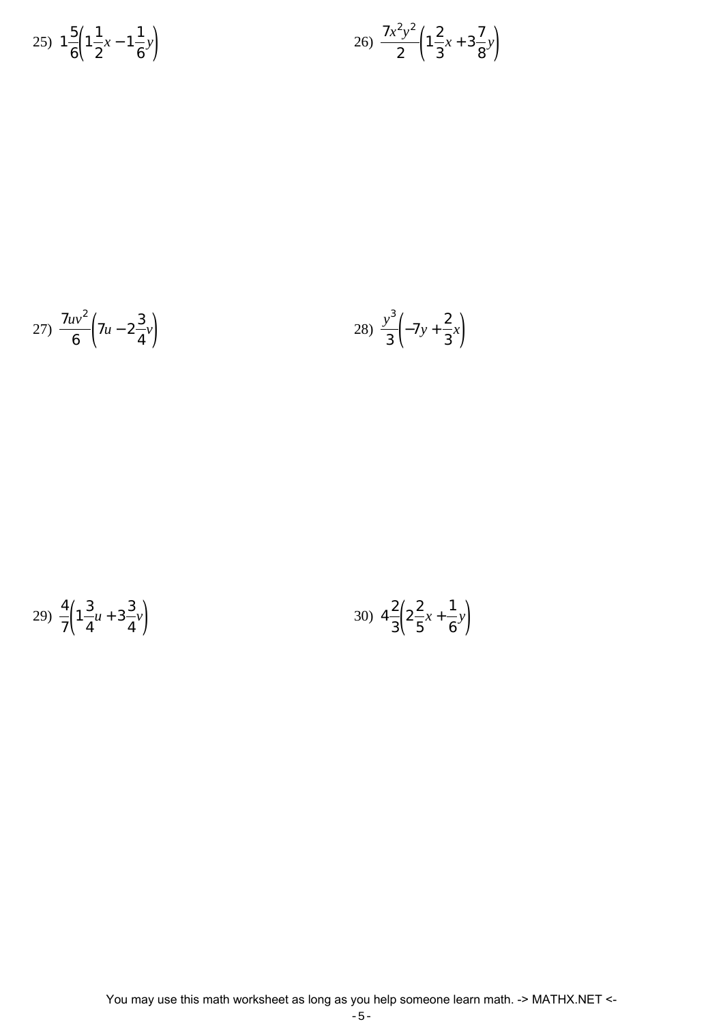25) 
$$
1\frac{5}{6}\left(1\frac{1}{2}x-1\frac{1}{6}y\right)
$$
  
26)  $\frac{7x^2y^2}{2}\left(1\frac{2}{3}x+3\frac{7}{8}y\right)$ 

27) 
$$
\frac{7uv^2}{6} \left(7u - 2\frac{3}{4}v\right)
$$
 28)  $\frac{y^3}{3} \left(-7y + \frac{2}{3}x\right)$ 

$$
29) \frac{4}{7} \left( 1 \frac{3}{4} u + 3 \frac{3}{4} v \right) \tag{30} \quad 4 \frac{2}{3} \left( 2 \frac{2}{5} x + \frac{1}{6} v \right)
$$